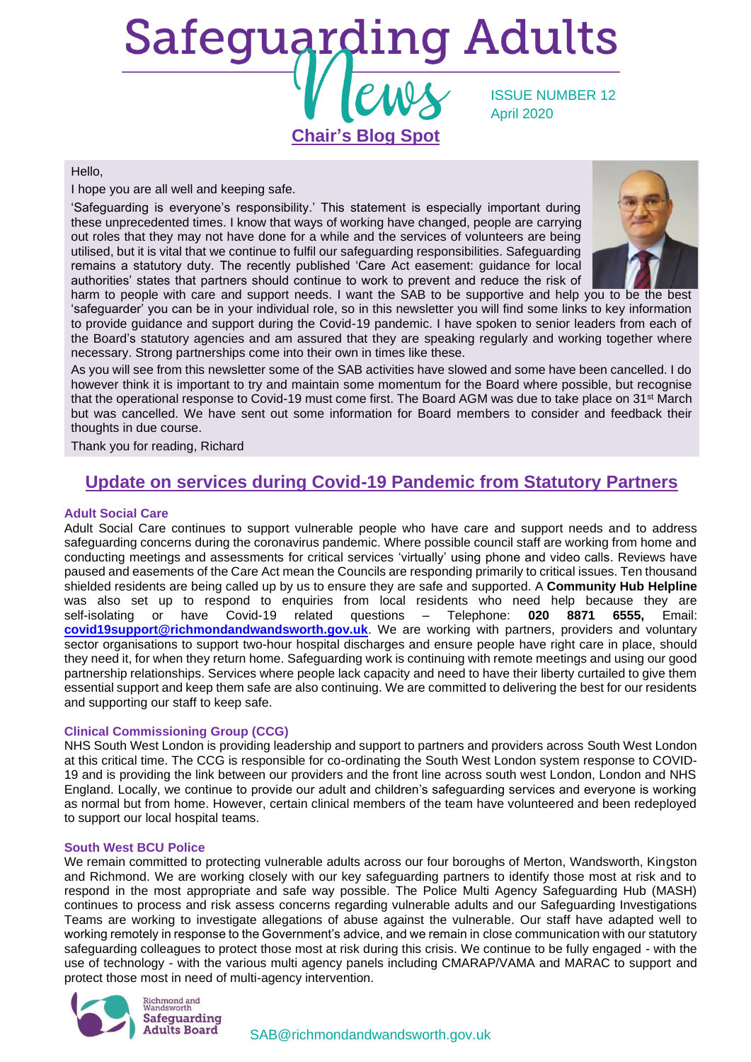

Hello,

I hope you are all well and keeping safe.

'Safeguarding is everyone's responsibility.' This statement is especially important during these unprecedented times. I know that ways of working have changed, people are carrying out roles that they may not have done for a while and the services of volunteers are being utilised, but it is vital that we continue to fulfil our safeguarding responsibilities. Safeguarding remains a statutory duty. The recently published 'Care Act easement: guidance for local authorities' states that partners should continue to work to prevent and reduce the risk of



harm to people with care and support needs. I want the SAB to be supportive and help you to be the best 'safeguarder' you can be in your individual role, so in this newsletter you will find some links to key information to provide guidance and support during the Covid-19 pandemic. I have spoken to senior leaders from each of the Board's statutory agencies and am assured that they are speaking regularly and working together where necessary. Strong partnerships come into their own in times like these.

As you will see from this newsletter some of the SAB activities have slowed and some have been cancelled. I do however think it is important to try and maintain some momentum for the Board where possible, but recognise that the operational response to Covid-19 must come first. The Board AGM was due to take place on 31st March but was cancelled. We have sent out some information for Board members to consider and feedback their thoughts in due course.

Thank you for reading, Richard

## **Update on services during Covid-19 Pandemic from Statutory Partners**

#### **Adult Social Care**

Adult Social Care continues to support vulnerable people who have care and support needs and to address safeguarding concerns during the coronavirus pandemic. Where possible council staff are working from home and conducting meetings and assessments for critical services 'virtually' using phone and video calls. Reviews have paused and easements of the Care Act mean the Councils are responding primarily to critical issues. Ten thousand shielded residents are being called up by us to ensure they are safe and supported. A **Community Hub Helpline** was also set up to respond to enquiries from local residents who need help because they are self-isolating or have Covid-19 related questions – Telephone: **020 8871 6555,** Email: **[covid19support@richmondandwandsworth.gov.uk](mailto:covid19support@richmondandwandsworth.gov.uk)**. We are working with partners, providers and voluntary sector organisations to support two-hour hospital discharges and ensure people have right care in place, should they need it, for when they return home. Safeguarding work is continuing with remote meetings and using our good partnership relationships. Services where people lack capacity and need to have their liberty curtailed to give them essential support and keep them safe are also continuing. We are committed to delivering the best for our residents and supporting our staff to keep safe.

### **Clinical Commissioning Group (CCG)**

NHS South West London is providing leadership and support to partners and providers across South West London at this critical time. The CCG is responsible for co-ordinating the South West London system response to COVID-19 and is providing the link between our providers and the front line across south west London, London and NHS England. Locally, we continue to provide our adult and children's safeguarding services and everyone is working as normal but from home. However, certain clinical members of the team have volunteered and been redeployed to support our local hospital teams.

#### **South West BCU Police**

We remain committed to protecting vulnerable adults across our four boroughs of Merton, Wandsworth, Kingston and Richmond. We are working closely with our key safeguarding partners to identify those most at risk and to respond in the most appropriate and safe way possible. The Police Multi Agency Safeguarding Hub (MASH) continues to process and risk assess concerns regarding vulnerable adults and our Safeguarding Investigations Teams are working to investigate allegations of abuse against the vulnerable. Our staff have adapted well to working remotely in response to the Government's advice, and we remain in close communication with our statutory safeguarding colleagues to protect those most at risk during this crisis. We continue to be fully engaged - with the use of technology - with the various multi agency panels including CMARAP/VAMA and MARAC to support and protect those most in need of multi-agency intervention.

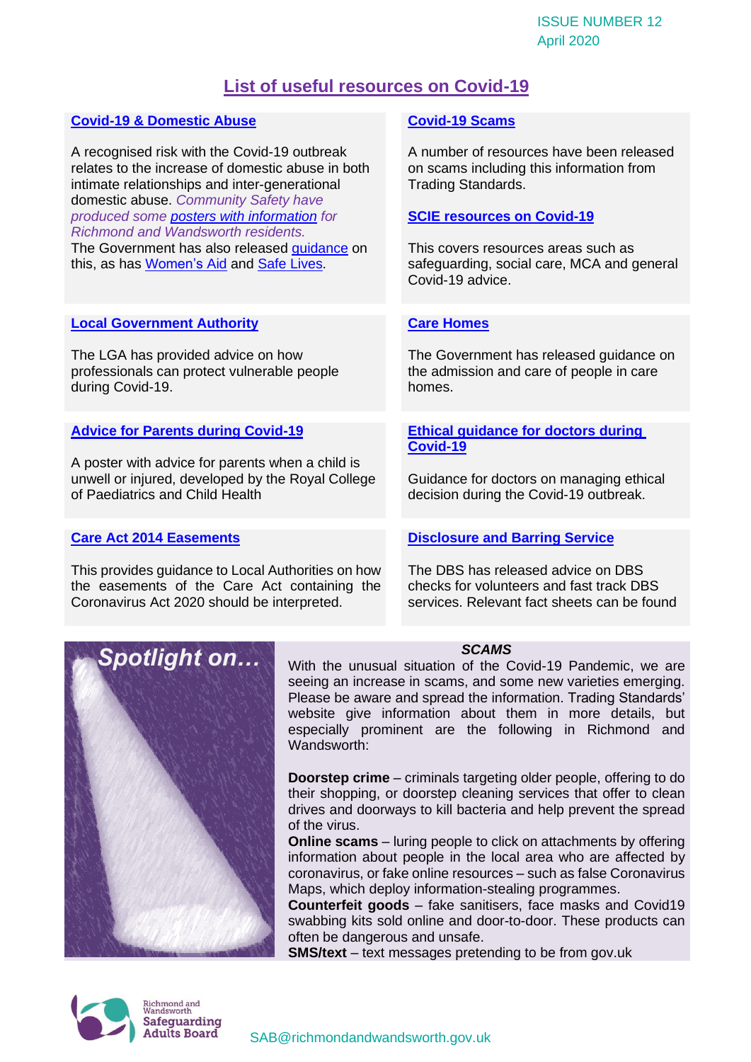# **List of useful resources on Covid-19**

| <b>Covid-19 &amp; Domestic Abuse</b>                                                                                                                                                        | <b>Covid-19 Scams</b>                                                                                             |
|---------------------------------------------------------------------------------------------------------------------------------------------------------------------------------------------|-------------------------------------------------------------------------------------------------------------------|
| A recognised risk with the Covid-19 outbreak<br>relates to the increase of domestic abuse in both<br>intimate relationships and inter-generational<br>domestic abuse. Community Safety have | A number of resources have been released<br>on scams including this information from<br><b>Trading Standards.</b> |
| produced some posters with information for<br><b>Richmond and Wandsworth residents.</b>                                                                                                     | <b>SCIE resources on Covid-19</b>                                                                                 |
| The Government has also released guidance on<br>this, as has <b>Women's Aid and Safe Lives</b> .                                                                                            | This covers resources areas such as<br>safeguarding, social care, MCA and general<br>Covid-19 advice.             |
|                                                                                                                                                                                             |                                                                                                                   |
| <b>Local Government Authority</b>                                                                                                                                                           | <b>Care Homes</b>                                                                                                 |
| The LGA has provided advice on how<br>professionals can protect vulnerable people<br>during Covid-19.                                                                                       | The Government has released guidance on<br>the admission and care of people in care<br>homes.                     |
| <b>Advice for Parents during Covid-19</b>                                                                                                                                                   | <b>Ethical guidance for doctors during</b><br>Covid-19                                                            |
| A poster with advice for parents when a child is                                                                                                                                            |                                                                                                                   |
| unwell or injured, developed by the Royal College<br>of Paediatrics and Child Health                                                                                                        | Guidance for doctors on managing ethical<br>decision during the Covid-19 outbreak.                                |
|                                                                                                                                                                                             |                                                                                                                   |
| <b>Care Act 2014 Easements</b>                                                                                                                                                              | <b>Disclosure and Barring Service</b>                                                                             |
| This provides guidance to Local Authorities on how<br>the essemente of the Care Act containing the                                                                                          | The DBS has released advice on DBS<br>chocks for volunteers and fast track DRS                                    |

the easements of the Care Act containing the Coronavirus Act 2020 should be interpreted.

checks for volunteers and fast track DBS services. Relevant fact sheets can be found



## *SCAMS*

With the unusual situation of the Covid-19 Pandemic, we are seeing an increase in scams, and some new varieties emerging. Please be aware and spread the information. Trading Standards' website give information about them in more details, but especially prominent are the following in Richmond and Wandsworth:

**Doorstep crime** – criminals targeting older people, offering to do their shopping, or doorstep cleaning services that offer to clean drives and doorways to kill bacteria and help prevent the spread of the virus.

**Online scams** – luring people to click on attachments by offering information about people in the local area who are affected by coronavirus, or fake online resources – such as false Coronavirus Maps, which deploy information-stealing programmes.

**Counterfeit goods** – fake sanitisers, face masks and Covid19 swabbing kits sold online and door-to-door. These products can often be dangerous and unsafe.

**SMS/text** – text messages pretending to be from gov.uk

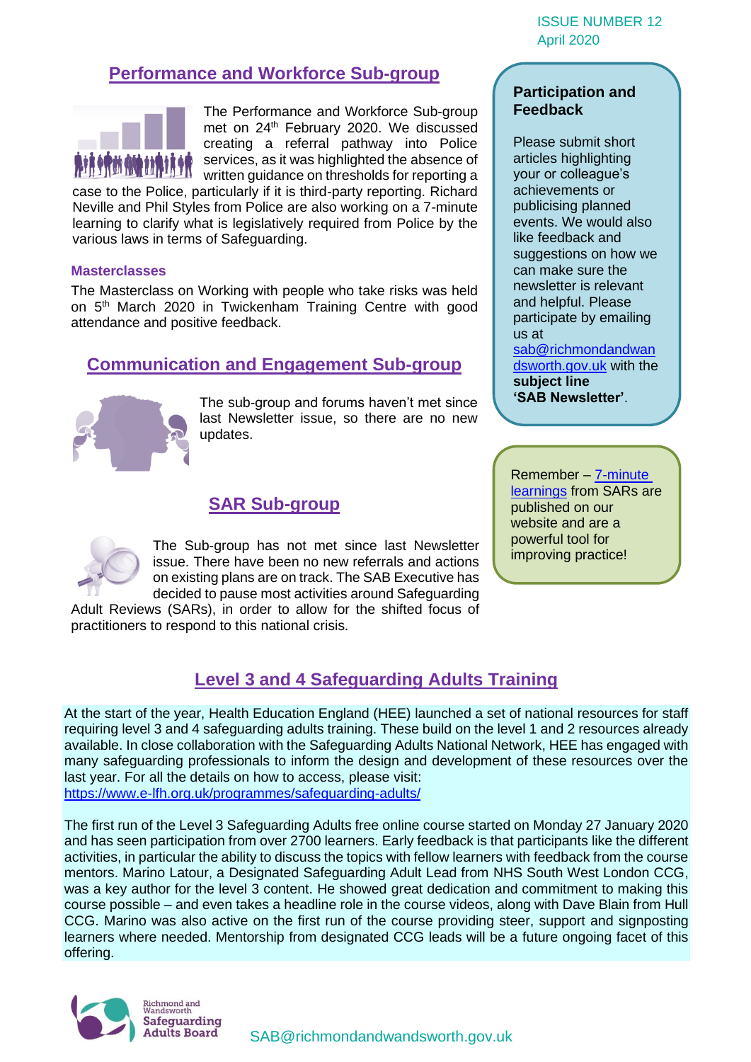# **Performance and Workforce Sub-group**



The Performance and Workforce Sub-group met on 24 th February 2020. We discussed creating a referral pathway into Police services, as it was highlighted the absence of written guidance on thresholds for reporting a

case to the Police, particularly if it is third-party reporting. Richard Neville and Phil Styles from Police are also working on a 7-minute learning to clarify what is legislatively required from Police by the various laws in terms of Safeguarding.

## **Masterclasses**

The Masterclass on Working with people who take risks was held on 5<sup>th</sup> March 2020 in Twickenham Training Centre with good attendance and positive feedback.

## **Communication and Engagement Sub-group**



The sub-group and forums haven't met since last Newsletter issue, so there are no new updates.

## **SAR Sub-group**

The Sub-group has not met since last Newsletter issue. There have been no new referrals and actions on existing plans are on track. The SAB Executive has decided to pause most activities around Safeguarding

Adult Reviews (SARs), in order to allow for the shifted focus of practitioners to respond to this national crisis.

## **Participation and Feedback**

Please submit short articles highlighting your or colleague's achievements or publicising planned events. We would also like feedback and suggestions on how we can make sure the newsletter is relevant and helpful. Please participate by emailing us at

[sab@richmondandwan](mailto:sab@richmondandwandsworth.gov.uk) [dsworth.gov.uk](mailto:sab@richmondandwandsworth.gov.uk) with the **subject line 'SAB Newsletter'**.

Remember – [7-minute](https://www.richmond.gov.uk/council/how_we_work/partnerships/sab/safeguarding_adult_reviews)  [learnings](https://www.richmond.gov.uk/council/how_we_work/partnerships/sab/safeguarding_adult_reviews) from SARs are published on our website and are a powerful tool for improving practice!

# **Level 3 and 4 Safeguarding Adults Training**

At the start of the year, Health Education England (HEE) launched a set of national resources for staff requiring level 3 and 4 safeguarding adults training. These build on the level 1 and 2 resources already available. In close collaboration with the Safeguarding Adults National Network, HEE has engaged with many safeguarding professionals to inform the design and development of these resources over the last year. For all the details on how to access, please visit: <https://www.e-lfh.org.uk/programmes/safeguarding-adults/>

The first run of the Level 3 Safeguarding Adults free online course started on Monday 27 January 2020 and has seen participation from over 2700 learners. Early feedback is that participants like the different activities, in particular the ability to discuss the topics with fellow learners with feedback from the course mentors. Marino Latour, a Designated Safeguarding Adult Lead from NHS South West London CCG, was a key author for the level 3 content. He showed great dedication and commitment to making this course possible – and even takes a headline role in the course videos, along with Dave Blain from Hull CCG. Marino was also active on the first run of the course providing steer, support and signposting learners where needed. Mentorship from designated CCG leads will be a future ongoing facet of this offering.

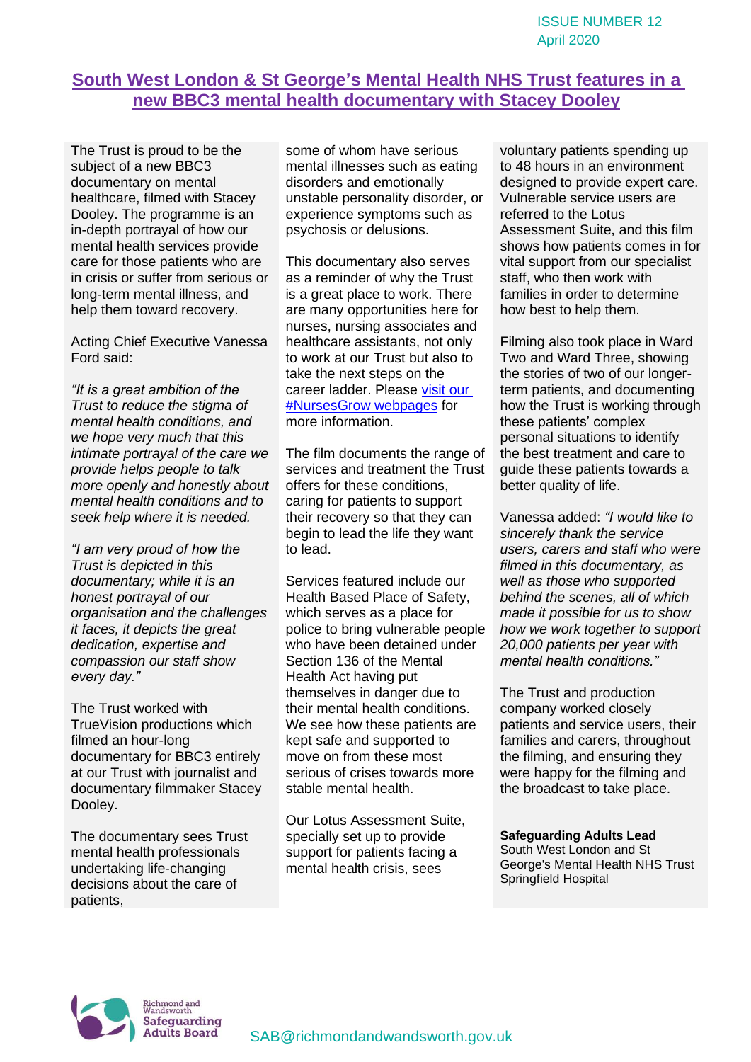# **South West London & St George's Mental Health NHS Trust features in a new BBC3 mental health documentary with Stacey Dooley**

The Trust is proud to be the subject of a new BBC3 documentary on mental healthcare, filmed with Stacey Dooley. The programme is an in-depth portrayal of how our mental health services provide care for those patients who are in crisis or suffer from serious or long-term mental illness, and help them toward recovery.

Acting Chief Executive Vanessa Ford said:

*"It is a great ambition of the Trust to reduce the stigma of mental health conditions, and we hope very much that this intimate portrayal of the care we provide helps people to talk more openly and honestly about mental health conditions and to seek help where it is needed.*

*"I am very proud of how the Trust is depicted in this documentary; while it is an honest portrayal of our organisation and the challenges it faces, it depicts the great dedication, expertise and compassion our staff show every day."*

The Trust worked with TrueVision productions which filmed an hour-long documentary for BBC3 entirely at our Trust with journalist and documentary filmmaker Stacey Dooley.

The documentary sees Trust mental health professionals undertaking life-changing decisions about the care of patients,

some of whom have serious mental illnesses such as eating disorders and emotionally unstable personality disorder, or experience symptoms such as psychosis or delusions.

This documentary also serves as a reminder of why the Trust is a great place to work. There are many opportunities here for nurses, nursing associates and healthcare assistants, not only to work at our Trust but also to take the next steps on the career ladder. Please [visit our](https://protect-eu.mimecast.com/s/2qxlCzmPs8MwEoh4NQip?domain=swlstg.nhs.uk)  [#NursesGrow webpages](https://protect-eu.mimecast.com/s/2qxlCzmPs8MwEoh4NQip?domain=swlstg.nhs.uk) for more information.

The film documents the range of services and treatment the Trust offers for these conditions, caring for patients to support their recovery so that they can begin to lead the life they want to lead.

Services featured include our Health Based Place of Safety, which serves as a place for police to bring vulnerable people who have been detained under Section 136 of the Mental Health Act having put themselves in danger due to their mental health conditions. We see how these patients are kept safe and supported to move on from these most serious of crises towards more stable mental health.

Our Lotus Assessment Suite, specially set up to provide support for patients facing a mental health crisis, sees

voluntary patients spending up to 48 hours in an environment designed to provide expert care. Vulnerable service users are referred to the Lotus Assessment Suite, and this film shows how patients comes in for vital support from our specialist staff, who then work with families in order to determine how best to help them.

Filming also took place in Ward Two and Ward Three, showing the stories of two of our longerterm patients, and documenting how the Trust is working through these patients' complex personal situations to identify the best treatment and care to guide these patients towards a better quality of life.

Vanessa added: *"I would like to sincerely thank the service users, carers and staff who were filmed in this documentary, as well as those who supported behind the scenes, all of which made it possible for us to show how we work together to support 20,000 patients per year with mental health conditions."*

The Trust and production company worked closely patients and service users, their families and carers, throughout the filming, and ensuring they were happy for the filming and the broadcast to take place.

## **Safeguarding Adults Lead**

South West London and St George's Mental Health NHS Trust Springfield Hospital